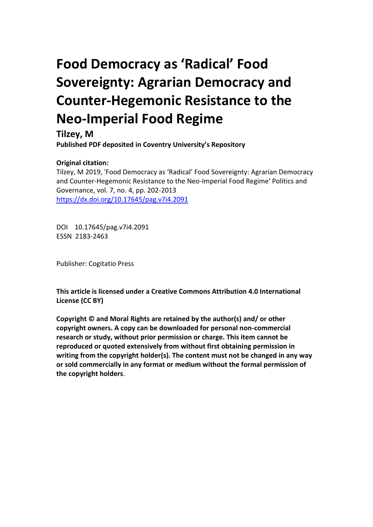# **Food Democracy as 'Radical' Food Sovereignty: Agrarian Democracy and Counter-Hegemonic Resistance to the Neo-Imperial Food Regime**

**Tilzey, M Published PDF deposited in Coventry University's Repository** 

# **Original citation:**

Tilzey, M 2019, 'Food Democracy as 'Radical' Food Sovereignty: Agrarian Democracy and Counter-Hegemonic Resistance to the Neo-Imperial Food Regime' Politics and Governance, vol. 7, no. 4, pp. 202-2013 https://dx.doi.org/10.17645/pag.v7i4.2091

DOI 10.17645/pag.v7i4.2091 ESSN 2183-2463

Publisher: Cogitatio Press

**This article is licensed under a Creative Commons Attribution 4.0 International License (CC BY)**

**Copyright © and Moral Rights are retained by the author(s) and/ or other copyright owners. A copy can be downloaded for personal non-commercial research or study, without prior permission or charge. This item cannot be reproduced or quoted extensively from without first obtaining permission in writing from the copyright holder(s). The content must not be changed in any way or sold commercially in any format or medium without the formal permission of the copyright holders**.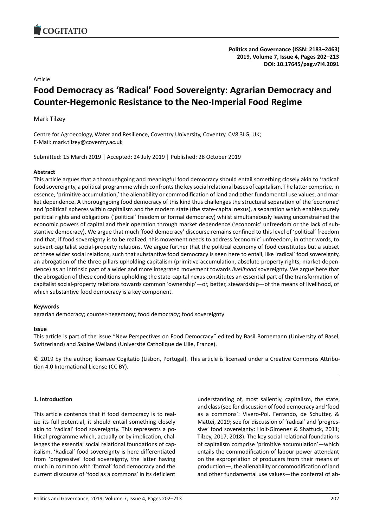<span id="page-1-0"></span>

**Politics and Governance (ISSN: 2183–2463) 2019, Volume 7, Issue 4, Pages 202–213 DOI: 10.17645/pag.v7i4.2091**

Article

# **Food Democracy as 'Radical' Food Sovereignty: Agrarian Democracy and Counter-Hegemonic Resistance to the Neo-Imperial Food Regime**

Mark Tilzey

Centre for Agroecology, Water and Resilience, Coventry University, Coventry, CV8 3LG, UK; E-Mail: mark.tilzey@coventry.ac.uk

Submitted: 15 March 2019 | Accepted: 24 July 2019 | Published: 28 October 2019

# **Abstract**

This article argues that a thoroughgoing and meaningful food democracy should entail something closely akin to 'radical' food sovereignty, a political programme which confronts the key social relational bases of capitalism. The latter comprise, in essence, 'primitive accumulation,' the alienability or commodification of land and other fundamental use values, and market dependence. A thoroughgoing food democracy of this kind thus challenges the structural separation of the 'economic' and 'political' spheres within capitalism and the modern state (the state-capital nexus), a separation which enables purely political rights and obligations ('political' freedom or formal democracy) whilst simultaneously leaving unconstrained the economic powers of capital and their operation through market dependence ('economic' unfreedom or the lack of substantive democracy). We argue that much 'food democracy' discourse remains confined to this level of 'political' freedom and that, if food sovereignty is to be realized, this movement needs to address 'economic' unfreedom, in other words, to subvert capitalist social-property relations. We argue further that the political economy of food constitutes but a subset of these wider social relations, such that substantive food democracy is seen here to entail, like 'radical' food sovereignty, an abrogation of the three pillars upholding capitalism (primitive accumulation, absolute property rights, market dependence) as an intrinsic part of a wider and more integrated movement towards *livelihood* sovereignty. We argue here that the abrogation of these conditions upholding the state-capital nexus constitutes an essential part of the transformation of capitalist social-property relations towards common 'ownership'―or, better, stewardship―of the means of livelihood, of which substantive food democracy is a key component.

#### **Keywords**

agrarian democracy; counter-hegemony; food democracy; food sovereignty

#### **Issue**

This article is part of the issue "New Perspectives on Food Democracy" edited by Basil Bornemann (University of Basel, Switzerland) and Sabine Weiland (Université Catholique de Lille, France).

© 2019 by the author; licensee Cogitatio (Lisbon, Portugal). This article is licensed under a Creative Commons Attribution 4.0 International License (CC BY).

# **1. Introduction**

This article contends that if food democracy is to realize its full potential, it should entail something closely akin to 'radical' food sovereignty. This represents a political programme which, actually or by implication, challenges the essential social relational foundations of capitalism. 'Radical' food sovereignty is here differentiated from 'progressive' food sovereignty, the latter having much in common with 'formal' food democracy and the current discourse of 'food as a commons' in its deficient

understanding of, most saliently, capitalism, the state, and class (see for discussion of food democracy and 'food as a commons': Vivero-Pol, Ferrando, de Schutter, & Mattei, 2019; see for discussion of 'radical' and 'progressive' food sovereignty: Holt-Gimenez & Shattuck, 2011; Tilzey, 2017, 2018). The key social relational foundations of capitalism comprise 'primitive accumulation'―which entails the commodification of labour power attendant on the expropriation of producers from their means of production―, the alienability or commodification of land and other fundamental use values―the conferral of ab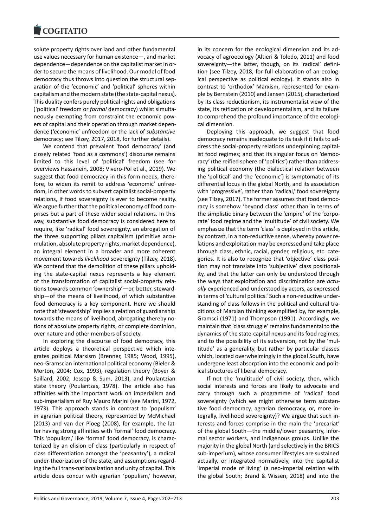solute property rights over land and other fundamental use values necessary for human existence―, and market dependence―dependence on the capitalist market in order to secure the means of livelihood. Our model of food democracy thus throws into question the structural separation of the 'economic' and 'political' spheres within capitalism and the modern state (the state-capital nexus). This duality confers purely political rights and obligations ('political' freedom or *formal* democracy) whilst simultaneously exempting from constraint the economic powers of capital and their operation through market dependence ('economic' unfreedom or the lack of *substantive* democracy; see Tilzey, 2017, 2018, for further details).

We contend that prevalent 'food democracy' (and closely related 'food as a commons') discourse remains limited to this level of 'political' freedom (see for overviews Hassanein, 2008; Vivero-Pol et al., 2019). We suggest that food democracy in this form needs, therefore, to widen its remit to address 'economic' unfreedom, in other words to subvert capitalist social-property relations, if food sovereignty is ever to become reality. We argue further that the political economy of food comprises but a part of these wider social relations. In this way, substantive food democracy is considered here to require, like 'radical' food sovereignty, an abrogation of the three supporting pillars capitalism (primitive accumulation, absolute property rights, market dependence), an integral element in a broader and more coherent movement towards *livelihood* sovereignty (Tilzey, 2018). We contend that the demolition of these pillars upholding the state-capital nexus represents a key element of the transformation of capitalist social-property relations towards common 'ownership'―or, better, stewardship―of the means of livelihood, of which substantive food democracy is a key component. Here we should note that 'stewardship' implies a relation of guardianship towards the means of livelihood, abrogating thereby notions of absolute property rights, or complete dominion, over nature and other members of society.

In exploring the discourse of food democracy, this article deploys a theoretical perspective which integrates political Marxism (Brenner, 1985; Wood, 1995), neo-Gramscian international political economy (Bieler & Morton, 2004; Cox, 1993), regulation theory (Boyer & Saillard, 2002; Jessop & Sum, 2013), and Poulantzian state theory (Poulantzas, 1978). The article also has affinities with the important work on imperialism and sub-imperialism of Ruy Mauro Marini (see Marini, 1972, 1973). This approach stands in contrast to 'populism' in agrarian political theory, represented by McMichael (2013) and van der Ploeg (2008), for example, the latter having strong affinities with 'formal' food democracy. This 'populism,' like 'formal' food democracy, is characterized by an elision of class (particularly in respect of class differentiation amongst the 'peasantry'), a radical under-theorization of the state, and assumptions regarding the full trans-nationalization and unity of capital. This article does concur with agrarian 'populism,' however,

in its concern for the ecological dimension and its advocacy of agroecology (Altieri & Toledo, 2011) and food sovereignty—the latter, though, on its 'radical' definition (see Tilzey, 2018, for full elaboration of an ecological perspective as political ecology). It stands also in contrast to 'orthodox' Marxism, represented for example by Bernstein (2010) and Jansen (2015), characterized by its class reductionism, its instrumentalist view of the state, its reification of developmentalism, and its failure to comprehend the profound importance of the ecological dimension.

Deploying this approach, we suggest that food democracy remains inadequate to its task if it fails to address the social-property relations underpinning capitalist food regimes; and that its singular focus on 'democracy' (the reified sphere of 'politics') rather than addressing political economy (the dialectical relation between the 'political' and the 'economic') is symptomatic of its differential locus in the global North, and its association with 'progressive', rather than 'radical,' food sovereignty (see Tilzey, 2017). The former assumes that food democracy is somehow 'beyond class' other than in terms of the simplistic binary between the 'empire' of the 'corporate' food regime and the 'multitude' of civil society. We emphasize that the term 'class' is deployed in this article, by contrast, in a non-reductive sense, whereby power relations and exploitation may be expressed and take place through class, ethnic, racial, gender, religious, etc. categories. It is also to recognize that 'objective' class position may not translate into 'subjective' class positionality, and that the latter can only be understood through the ways that exploitation and discrimination are *actually* experienced and understood by actors, as expressed in terms of 'cultural politics.' Such a non-reductive understanding of class follows in the political and cultural traditions of Marxian thinking exemplified by, for example, Gramsci (1971) and Thompson (1991). Accordingly, we maintain that 'class struggle' remains fundamental to the dynamics of the state-capital nexus and its food regimes, and to the possibility of its subversion, not by the 'multitude' as a generality, but rather by particular classes which, located overwhelmingly in the global South, have undergone least absorption into the economic and political structures of liberal democracy.

If not the 'multitude' of civil society, then, which social interests and forces are likely to advocate and carry through such a programme of 'radical' food sovereignty (which we might otherwise term substantive food democracy, agrarian democracy, or, more integrally, livelihood sovereignty)? We argue that such interests and forces comprise in the main the 'precariat' of the global South―the middle/lower peasantry, informal sector workers, and indigenous groups. Unlike the majority in the global North (and selectively in the BRICS sub-imperium), whose consumer lifestyles are sustained actually, or integrated normatively, into the capitalist 'imperial mode of living' (a neo-imperial relation with the global South; Brand & Wissen, 2018) and into the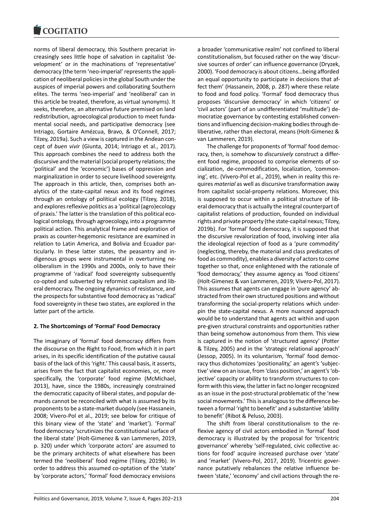

norms of liberal democracy, this Southern precariat increasingly sees little hope of salvation in capitalist 'development' or in the machinations of 'representative' democracy (the term 'neo-imperial' represents the application of neoliberal policies in the global South under the auspices of imperial powers and collaborating Southern elites. The terms 'neo-imperial' and 'neoliberal' can in this article be treated, therefore, as virtual synonyms). It seeks, therefore, an alternative future premised on land redistribution, agroecological production to meet fundamental social needs, and participative democracy (see Intriago, Gortaire Amézcua, Bravo, & O'Connell, 2017; Tilzey, 2019a). Such a view is captured in the Andean concept of *buen vivir* (Giunta, 2014; Intriago et al., 2017). This approach combines the need to address both the discursive and the material (social property relations; the 'political' and the 'economic') bases of oppression and marginalization in order to secure livelihood sovereignty. The approach in this article, then, comprises both analytics of the state-capital nexus and its food regimes through an ontology of political ecology (Tilzey, 2018), and explores reflexive politics as a 'political (agro)ecology of praxis.' The latter is the translation of this political ecological ontology, through agroecology, into a programme political action. This analytical frame and exploration of praxis as counter-hegemonic resistance are examined in relation to Latin America, and Bolivia and Ecuador particularly. In these latter states, the peasantry and indigenous groups were instrumental in overturning neoliberalism in the 1990s and 2000s, only to have their programme of 'radical' food sovereignty subsequently co-opted and subverted by reformist capitalism and liberal democracy. The ongoing dynamics of resistance, and the prospects for substantive food democracy as 'radical' food sovereignty in these two states, are explored in the latter part of the article.

# **2. The Shortcomings of 'Formal' Food Democracy**

The imaginary of 'formal' food democracy differs from the discourse on the Right to Food, from which it in part arises, in its specific identification of the putative causal basis of the lack of this 'right.' This causal basis, it asserts, arises from the fact that capitalist economies, or, more specifically, the 'corporate' food regime (McMichael, 2013), have, since the 1980s, increasingly constrained the democratic capacity of liberal states, and popular demands cannot be reconciled with what is assumed by its proponents to be a state-market duopoly (see Hassanein, 2008; Vivero-Pol et al., 2019; see below for critique of this binary view of the 'state' and 'market'). 'Formal' food democracy 'scrutinizes the constitutional surface of the liberal state' (Holt-Gimenez & van Lammeren, 2019, p. 320) under which 'corporate actors' are assumed to be the primary architects of what elsewhere has been termed the 'neoliberal' food regime (Tilzey, 2019b). In order to address this assumed co-optation of the 'state' by 'corporate actors,' 'formal' food democracy envisions

a broader 'communicative realm' not confined to liberal constitutionalism, but focused rather on the way 'discursive sources of order' can influence governance (Dryzek, 2000). 'Food democracy is about citizens…being afforded an equal opportunity to participate in decisions that affect them' (Hassanein, 2008, p. 287) where these relate to food and food policy. 'Formal' food democracy thus proposes 'discursive democracy' in which 'citizens' or 'civil actors' (part of an undifferentiated 'multitude') democratize governance by contesting established conventions and influencing decision-making bodies through deliberative, rather than electoral, means (Holt-Gimenez & van Lammeren, 2019).

The challenge for proponents of 'formal' food democracy, then, is somehow to *discursively* construct a different food regime, proposed to comprise elements of socialization, de-commodification, localization, 'commoning', etc. (Vivero-Pol et al., 2019), when in reality this requires *material* as well as discursive transformation away from capitalist social-property relations. Moreover, this is supposed to occur within a political structure of liberal democracy that is actually the integral counterpart of capitalist relations of production, founded on individual rights and private property (the state-capital nexus; Tilzey, 2019b). For 'formal' food democracy, it is supposed that the discursive revalorization of food, involving inter alia the ideological rejection of food as a 'pure commodity' (neglecting, thereby, the material and class predicates of food as commodity), enables a diversity of actors to come together so that, once enlightened with the rationale of 'food democracy,' they assume agency as 'food citizens' (Holt-Gimenez & van Lammeren, 2019; Vivero-Pol, 2017). This assumes that agents can engage in 'pure agency' abstracted from their own structured positions and without transforming the social-property relations which underpin the state-capital nexus. A more nuanced approach would be to understand that agents act within and upon pre-given structural constraints and opportunities rather than being somehow autonomous from them. This view is captured in the notion of 'structured agency' (Potter & Tilzey, 2005) and in the 'strategic relational approach' (Jessop, 2005). In its voluntarism, 'formal' food democracy thus dichotomizes 'positionality,' an agent's 'subjective' view on an issue, from 'class position,' an agent's 'objective' capacity or ability to transform structures to conform with this view, the latter in fact no longer recognized as an issue in the post-structural problematic of the 'new social movements.' This is analogous to the difference between a formal 'right to benefit' and a substantive 'ability to benefit' (Ribot & Peluso, 2003).

The shift from liberal constitutionalism to the reflexive agency of civil actors embodied in 'formal' food democracy is illustrated by the proposal for 'tricentric governance' whereby 'self-regulated, civic collective actions for food' acquire increased purchase over 'state' and 'market' (Vivero-Pol, 2017, 2019). Tricentric governance putatively rebalances the relative influence between 'state,' 'economy' and civil actions through the re-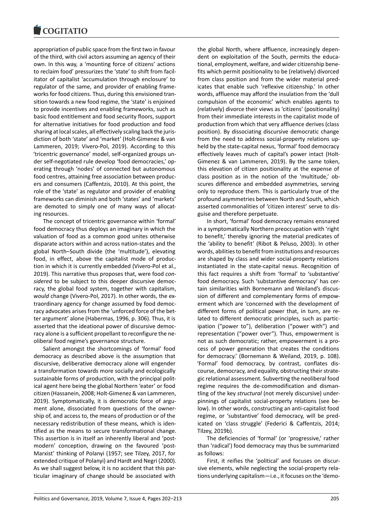

appropriation of public space from the first two in favour of the third, with civil actors assuming an agency of their own. In this way, a 'mounting force of citizens' actions to reclaim food' pressurizes the 'state' to shift from facilitator of capitalist 'accumulation through enclosure' to regulator of the same, and provider of enabling frameworks for food citizens. Thus, during this envisioned transition towards a new food regime, the 'state' is enjoined to provide incentives and enabling frameworks, such as basic food entitlement and food security floors, support for alternative initiatives for food production and food sharing at local scales, all effectively scaling back the jurisdiction of both 'state' and 'market' (Holt-Gimenez & van Lammeren, 2019; Vivero-Pol, 2019). According to this 'tricentric governance' model, self-organized groups under self-negotiated rule develop 'food democracies,' operating through 'nodes' of connected but autonomous food centres, attaining free association between producers and consumers (Caffentzis, 2010). At this point, the role of the 'state' as regulator and provider of enabling frameworks can diminish and both 'states' and 'markets' are demoted to simply one of many ways of allocating resources.

The concept of tricentric governance within 'formal' food democracy thus deploys an imaginary in which the valuation of food as a common good unites otherwise disparate actors within and across nation-states and the global North–South divide (the 'multitude'), elevating food, in effect, above the capitalist mode of production in which it is currently embedded (Vivero-Pol et al., 2019). This narrative thus proposes that, were food *considered* to be subject to this deeper discursive democracy, the global food system, together with capitalism, *would* change (Vivero-Pol, 2017). In other words, the extraordinary agency for change assumed by food democracy advocates arises from the 'unforced force of the better argument' alone (Habermas, 1996, p. 306). Thus, it is asserted that the ideational power of discursive democracy alone is a sufficient propellant to reconfigure the neoliberal food regime's governance structure.

Salient amongst the shortcomings of 'formal' food democracy as described above is the assumption that discursive, deliberative democracy alone will engender a transformation towards more socially and ecologically sustainable forms of production, with the principal political agent here being the global Northern 'eater' or food citizen (Hassanein, 2008; Holt-Gimenez & van Lammeren, 2019). Symptomatically, it is democratic force of argument alone, dissociated from questions of the ownership of, and access to, the means of production or of the necessary redistribution of these means, which is identified as the means to secure transformational change. This assertion is in itself an inherently liberal and 'postmodern' conception, drawing on the favoured 'post-Marxist' thinking of Polanyi (1957; see Tilzey, 2017, for extended critique of Polanyi) and Hardt and Negri (2000). As we shall suggest below, it is no accident that this particular imaginary of change should be associated with

the global North, where affluence, increasingly dependent on exploitation of the South, permits the educational, employment, welfare, and wider citizenship benefits which permit positionality to be (relatively) divorced from class position and from the wider material predicates that enable such 'reflexive citizenship.' In other words, affluence may afford the insulation from the 'dull compulsion of the economic' which enables agents to (relatively) divorce their views as 'citizens' (positionality) from their immediate interests in the capitalist mode of production from which that very affluence derives (class position). By dissociating discursive democratic change from the need to address social-property relations upheld by the state-capital nexus, 'formal' food democracy effectively leaves much of capital's power intact (Holt-Gimenez & van Lammeren, 2019). By the same token, this elevation of citizen positionality at the expense of class position as in the notion of the 'multitude,' obscures difference and embedded asymmetries, serving only to reproduce them. This is particularly true of the profound asymmetries between North and South, which asserted commonalities of 'citizen interest' serve to disguise and therefore perpetuate.

In short, 'formal' food democracy remains ensnared in a symptomatically Northern preoccupation with 'right to benefit,' thereby ignoring the material predicates of the 'ability to benefit' (Ribot & Peluso, 2003). In other words, abilities to benefit from institutions and resources are shaped by class and wider social-property relations instantiated in the state-capital nexus. Recognition of this fact requires a shift from 'formal' to 'substantive' food democracy. Such 'substantive democracy' has certain similarities with Bornemann and Weiland's discussion of different and complementary forms of empowerment which are 'concerned with the development of different forms of political power that, in turn, are related to different democratic principles, such as participation ("power to"), deliberation ("power with") and representation ("power over"). Thus, empowerment is not as such democratic; rather, empowerment is a process of power generation that creates the conditions for democracy.' (Bornemann & Weiland, 2019, p. 108). 'Formal' food democracy, by contrast, conflates discourse, democracy, and equality, obstructing their strategic relational assessment. Subverting the neoliberal food regime requires the de-commodification and dismantling of the key *structural* (not merely discursive) underpinnings of capitalist social-property relations (see below). In other words, constructing an anti-capitalist food regime, or 'substantive' food democracy, will be predicated on 'class struggle' (Federici & Caffentzis, 2014; Tilzey, 2019b).

The deficiencies of 'formal' (or 'progressive,' rather than 'radical') food democracy may thus be summarized as follows:

First, it reifies the 'political' and focuses on discursive elements, while neglecting the social-property relations underlying capitalism―i.e., it focuses on the 'demo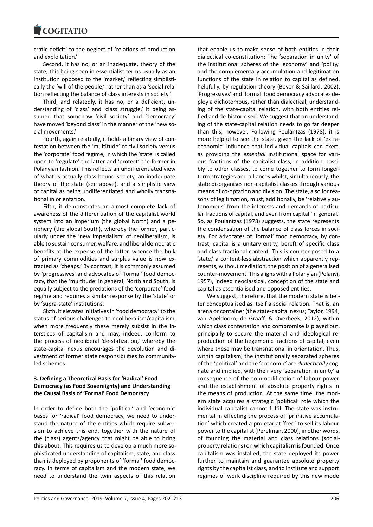**COGITATIO** 

cratic deficit' to the neglect of 'relations of production and exploitation.'

Second, it has no, or an inadequate, theory of the state, this being seen in essentialist terms usually as an institution opposed to the 'market,' reflecting simplistically the 'will of the people,' rather than as a 'social relation reflecting the balance of class interests in society.'

Third, and relatedly, it has no, or a deficient, understanding of 'class' and 'class struggle,' it being assumed that somehow 'civil society' and 'democracy' have moved 'beyond class' in the manner of the 'new social movements.'

Fourth, again relatedly, it holds a binary view of contestation between the 'multitude' of civil society versus the 'corporate' food regime, in which the 'state' is called upon to 'regulate' the latter and 'protect' the former in Polanyian fashion. This reflects an undifferentiated view of what is actually class-bound society, an inadequate theory of the state (see above), and a simplistic view of capital as being undifferentiated and wholly transnational in orientation.

Fifth, it demonstrates an almost complete lack of awareness of the differentiation of the capitalist world system into an imperium (the global North) and a periphery (the global South), whereby the former, particularly under the 'new imperialism' of neoliberalism, is able to sustain consumer, welfare, and liberal democratic benefits at the expense of the latter, whence the bulk of primary commodities and surplus value is now extracted as 'cheaps.' By contrast, it is commonly assumed by 'progressives' and advocates of 'formal' food democracy, that the 'multitude' in general, North and South, is equally subject to the predations of the 'corporate' food regime and requires a similar response by the 'state' or by 'supra-state' institutions.

Sixth, it elevates initiatives in 'food democracy' to the status of serious challenges to neoliberalism/capitalism, when more frequently these merely subsist in the interstices of capitalism and may, indeed, conform to the process of neoliberal 'de-statization,' whereby the state-capital nexus encourages the devolution and divestment of former state responsibilities to communityled schemes.

# **3. Defining a Theoretical Basis for 'Radical' Food Democracy (as Food Sovereignty) and Understanding the Causal Basis of 'Formal' Food Democracy**

In order to define both the 'political' and 'economic' bases for 'radical' food democracy, we need to understand the nature of the entities which require subversion to achieve this end, together with the nature of the (class) agents/agency that might be able to bring this about. This requires us to develop a much more sophisticated understanding of capitalism, state, and class than is deployed by proponents of 'formal' food democracy. In terms of capitalism and the modern state, we need to understand the twin aspects of this relation

that enable us to make sense of both entities in their dialectical co-constitution: The 'separation in unity' of the institutional spheres of the 'economy' and 'polity,' and the complementary accumulation and legitimation functions of the state in relation to capital as defined, helpfully, by regulation theory (Boyer & Saillard, 2002). 'Progressives' and 'formal' food democracy advocates deploy a dichotomous, rather than dialectical, understanding of the state-capital relation, with both entities reified and de-historicised. We suggest that an understanding of the state-capital relation needs to go far deeper than this, however. Following Poulantzas (1978), it is more helpful to see the state, given the lack of 'extraeconomic' influence that individual capitals can exert, as providing the *essential* institutional space for various fractions of the capitalist class, in addition possibly to other classes, to come together to form longerterm strategies and alliances whilst, simultaneously, the state disorganises non-capitalist classes through various means of co-optation and division. The state, also for reasons of legitimation, must, additionally, be 'relatively autonomous' from the interests and demands of particular fractions of capital, and even from capital 'in general.' So, as Poulantzas (1978) suggests, the state represents the condensation of the balance of class forces in society. For advocates of 'formal' food democracy, by contrast, capital is a unitary entity, bereft of specific class and class fractional content. This is counter-posed to a 'state,' a content-less abstraction which apparently represents, without mediation, the position of a generalised counter-movement. This aligns with a Polanyian (Polanyi, 1957), indeed neoclassical, conception of the state and capital as essentialised and opposed entities.

We suggest, therefore, that the modern state is better conceptualised as itself a social relation. That is, an arena or container (the state-capital nexus; Taylor, 1994; van Apeldoorn, de Graaff, & Overbeek, 2012), within which class contestation and compromise is played out, principally to secure the material and ideological reproduction of the hegemonic fractions of capital, even where these may be transnational in orientation. Thus, within capitalism, the institutionally separated spheres of the 'political' and the 'economic' are *dialectically* cognate and implied, with their very 'separation in unity' a consequence of the commodification of labour power and the establishment of absolute property rights in the means of production. At the same time, the modern state acquires a strategic 'political' role which the individual capitalist cannot fulfil. The state was instrumental in effecting the process of 'primitive accumulation' which created a proletariat 'free' to sell its labour power to the capitalist (Perelman, 2000), in other words, of founding the material and class relations (socialproperty relations) on which capitalism is founded. Once capitalism was installed, the state deployed its power further to maintain and guarantee absolute property rights by the capitalist class, and to institute and support regimes of work discipline required by this new mode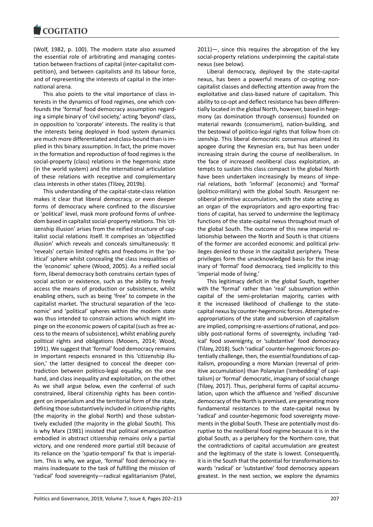(Wolf, 1982, p. 100). The modern state also assumed the essential role of arbitrating and managing contestation between fractions of capital (inter-capitalist competition), and between capitalists and its labour force, and of representing the interests of capital in the international arena.

This also points to the vital importance of class interests in the dynamics of food regimes, one which confounds the 'formal' food democracy assumption regarding a simple binary of 'civil society,' acting 'beyond' class, in opposition to 'corporate' interests. The reality is that the interests being deployed in food system dynamics are much more differentiated and class-bound than is implied in this binary assumption. In fact, the prime mover in the formation and reproduction of food regimes is the social-property (class) relations in the hegemonic state (in the world system) and the international articulation of these relations with receptive and complementary class interests in other states (Tilzey, 2019b).

This understanding of the capital-state-class relation makes it clear that liberal democracy, or even deeper forms of democracy where confined to the discursive or 'political' level, mask more profound forms of unfreedom based in capitalist social-property relations. This 'citizenship illusion' arises from the reified structure of capitalist social relations itself. It comprises an 'objectified illusion' which reveals and conceals simultaneously: It 'reveals' certain limited rights and freedoms in the 'political' sphere whilst concealing the class inequalities of the 'economic' sphere (Wood, 2005). As a reified social form, liberal democracy both constrains certain types of social action or existence, such as the ability to freely access the means of production or subsistence, whilst enabling others, such as being 'free' to compete in the capitalist market. The structural separation of the 'economic' and 'political' spheres within the modern state was thus intended to constrain actions which might impinge on the economic powers of capital (such as free access to the means of subsistence), whilst enabling purely political rights and obligations (Mooers, 2014; Wood, 1991). We suggest that 'formal' food democracy remains in important respects ensnared in this 'citizenship illusion,' the latter designed to conceal the deeper contradiction between politico-legal equality, on the one hand, and class inequality and exploitation, on the other. As we shall argue below, even the conferral of such constrained, liberal citizenship rights has been contingent on imperialism and the territorial form of the state, defining those substantively included in citizenship rights (the majority in the global North) and those substantively excluded (the majority in the global South). This is why Marx (1981) insisted that political emancipation embodied in abstract citizenship remains only a partial victory, and one rendered more partial still because of its reliance on the 'spatio-temporal' fix that is imperialism. This is why, we argue, 'formal' food democracy remains inadequate to the task of fulfilling the mission of 'radical' food sovereignty―radical egalitarianism (Patel,

2011)―, since this requires the abrogation of the key social-property relations underpinning the capital-state nexus (see below).

Liberal democracy, deployed by the state-capital nexus, has been a powerful means of co-opting noncapitalist classes and deflecting attention away from the exploitative and class-based nature of capitalism. This ability to co-opt and deflect resistance has been differentially located in the global North, however, based in hegemony (as domination through consensus) founded on material rewards (consumerism), nation-building, and the bestowal of politico-legal rights that follow from citizenship. This liberal democratic consensus attained its apogee during the Keynesian era, but has been under increasing strain during the course of neoliberalism. In the face of increased neoliberal class exploitation, attempts to sustain this class compact in the global North have been undertaken increasingly by means of imperial relations, both 'informal' (economic) and 'formal' (politico-military) with the global South. Resurgent neoliberal primitive accumulation, with the state acting as an organ of the expropriators and agro-exporting fractions of capital, has served to undermine the legitimacy functions of the state-capital nexus throughout much of the global South. The outcome of this new imperial relationship between the North and South is that citizens of the former are accorded economic and political privileges denied to those in the capitalist periphery. These privileges form the unacknowledged basis for the imaginary of 'formal' food democracy, tied implicitly to this 'imperial mode of living.'

This legitimacy deficit in the global South, together with the 'formal' rather than 'real' subsumption within capital of the semi-proletarian majority, carries with it the increased likelihood of challenge to the statecapital nexus by counter-hegemonic forces. Attempted reappropriations of the state and subversion of capitalism are implied, comprising re-assertions of national, and possibly post-national forms of sovereignty, including 'radical' food sovereignty, or 'substantive' food democracy (Tilzey, 2018). Such 'radical' counter-hegemonic forces potentially challenge, then, the essential foundations of capitalism, propounding a more Marxian (reversal of primitive accumulation) than Polanyian ('embedding' of capitalism) or 'formal' democratic, imaginary of social change (Tilzey, 2017). Thus, peripheral forms of capital accumulation, upon which the affluence and 'reified' discursive democracy of the North is premised, are generating more fundamental resistances to the state-capital nexus by 'radical' and counter-hegemonic food sovereignty movements in the global South. These are potentially most disruptive to the neoliberal food regime because it is in the global South, as a periphery for the Northern core, that the contradictions of capital accumulation are greatest and the legitimacy of the state is lowest. Consequently, it is in the South that the potential for transformations towards 'radical' or 'substantive' food democracy appears greatest. In the next section, we explore the dynamics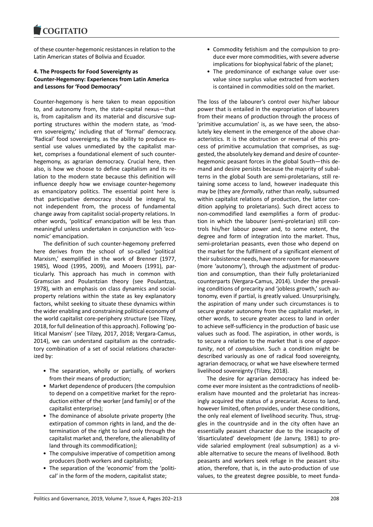of these counter-hegemonic resistances in relation to the Latin American states of Bolivia and Ecuador.

# **4. The Prospects for Food Sovereignty as Counter-Hegemony: Experiences from Latin America and Lessons for 'Food Democracy'**

Counter-hegemony is here taken to mean opposition to, and autonomy from, the state-capital nexus―that is, from capitalism and its material and discursive supporting structures within the modern state, as 'modern sovereignty,' including that of 'formal' democracy. 'Radical' food sovereignty, as the ability to produce essential use values unmediated by the capitalist market, comprises a foundational element of such counterhegemony, as agrarian democracy. Crucial here, then also, is how we choose to define capitalism and its relation to the modern state because this definition will influence deeply how we envisage counter-hegemony as emancipatory politics. The essential point here is that participative democracy should be integral to, not independent from, the process of fundamental change away from capitalist social-property relations. In other words, 'political' emancipation will be less than meaningful unless undertaken in conjunction with 'economic' emancipation.

The definition of such counter-hegemony preferred here derives from the school of so-called 'political Marxism,' exemplified in the work of Brenner (1977, 1985), Wood (1995, 2009), and Mooers (1991), particularly. This approach has much in common with Gramscian and Poulantzian theory (see Poulantzas, 1978), with an emphasis on class dynamics and socialproperty relations within the state as key explanatory factors, whilst seeking to situate these dynamics within the wider enabling and constraining political economy of the world capitalist core-periphery structure (see Tilzey, 2018, for full delineation of this approach). Following 'political Marxism' (see Tilzey, 2017, 2018; Vergara-Camus, 2014), we can understand capitalism as the contradictory combination of a set of social relations characterized by:

- The separation, wholly or partially, of workers from their means of production;
- Market dependence of producers (the compulsion to depend on a competitive market for the reproduction either of the worker [and family] or of the capitalist enterprise);
- The dominance of absolute private property (the extirpation of common rights in land, and the determination of the right to land only through the capitalist market and, therefore, the alienability of land through its commodification);
- The compulsive imperative of competition among producers (both workers and capitalists);
- The separation of the 'economic' from the 'political' in the form of the modern, capitalist state;
- Commodity fetishism and the compulsion to produce ever more commodities, with severe adverse implications for biophysical fabric of the planet;
- The predominance of exchange value over usevalue since surplus value extracted from workers is contained in commodities sold on the market.

The loss of the labourer's control over his/her labour power that is entailed in the expropriation of labourers from their means of production through the process of 'primitive accumulation' is, as we have seen, the absolutely key element in the emergence of the above characteristics. It is the obstruction or reversal of this process of primitive accumulation that comprises, as suggested, the absolutely key demand and desire of counterhegemonic peasant forces in the global South―this demand and desire persists because the majority of subalterns in the global South are semi-proletarians, still retaining some access to land, however inadequate this may be (they are *formally*, rather than *really*, subsumed within capitalist relations of production, the latter condition applying to proletarians). Such direct access to non-commodified land exemplifies a form of production in which the labourer (semi-proletarian) still controls his/her labour power and, to some extent, the degree and form of integration into the market. Thus, semi-proletarian peasants, even those who depend on the market for the fulfilment of a significant element of their subsistence needs, have more room for manoeuvre (more 'autonomy'), through the adjustment of production and consumption, than their fully proletarianized counterparts (Vergara-Camus, 2014). Under the prevailing conditions of precarity and 'jobless growth,' such autonomy, even if partial, is greatly valued. Unsurprisingly, the aspiration of many under such circumstances is to secure greater autonomy from the capitalist market, in other words, to secure greater access to land in order to achieve self-sufficiency in the production of basic use values such as food. The aspiration, in other words, is to secure a relation to the market that is one of *opportunity*, not of *compulsion*. Such a condition might be described variously as one of radical food sovereignty, agrarian democracy, or what we have elsewhere termed livelihood sovereignty (Tilzey, 2018).

The desire for agrarian democracy has indeed become ever more insistent as the contradictions of neoliberalism have mounted and the proletariat has increasingly acquired the status of a precariat. Access to land, however limited, often provides, under these conditions, the only real element of livelihood security. Thus, struggles in the countryside and in the city often have an essentially peasant character due to the incapacity of 'disarticulated' development (de Janvry, 1981) to provide salaried employment (real subsumption) as a viable alternative to secure the means of livelihood. Both peasants and workers seek refuge in the peasant situation, therefore, that is, in the auto-production of use values, to the greatest degree possible, to meet funda-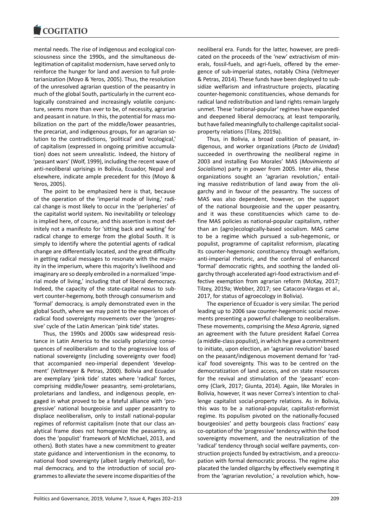

mental needs. The rise of indigenous and ecological consciousness since the 1990s, and the simultaneous delegitimation of capitalist modernism, have served only to reinforce the hunger for land and aversion to full proletarianization (Moyo & Yeros, 2005). Thus, the resolution of the unresolved agrarian question of the peasantry in much of the global South, particularly in the current ecologically constrained and increasingly volatile conjuncture, seems more than ever to be, of necessity, agrarian and peasant in nature. In this, the potential for mass mobilization on the part of the middle/lower peasantries, the precariat, and indigenous groups, for an agrarian solution to the contradictions, 'political' and 'ecological,' of capitalism (expressed in ongoing primitive accumulation) does not seem unrealistic. Indeed, the history of 'peasant wars' (Wolf, 1999), including the recent wave of anti-neoliberal uprisings in Bolivia, Ecuador, Nepal and elsewhere, indicate ample precedent for this (Moyo & Yeros, 2005).

The point to be emphasized here is that, because of the operation of the 'imperial mode of living,' radical change is most likely to occur in the 'peripheries' of the capitalist world system. No inevitability or teleology is implied here, of course, and this assertion is most definitely not a manifesto for 'sitting back and waiting' for radical change to emerge from the global South. It is simply to identify where the potential agents of radical change are differentially located, and the great difficulty in getting radical messages to resonate with the majority in the imperium, where this majority's livelihood and imaginary are so deeply embroiled in a normalized 'imperial mode of living,' including that of liberal democracy. Indeed, the capacity of the state-capital nexus to subvert counter-hegemony, both through consumerism and 'formal' democracy, is amply demonstrated even in the global South, where we may point to the experiences of radical food sovereignty movements over the 'progressive' cycle of the Latin American 'pink tide' states.

Thus, the 1990s and 2000s saw widespread resistance in Latin America to the socially polarizing consequences of neoliberalism and to the progressive loss of national sovereignty (including sovereignty over food) that accompanied neo-imperial dependent 'development' (Veltmeyer & Petras, 2000). Bolivia and Ecuador are exemplary 'pink tide' states where 'radical' forces, comprising middle/lower peasantry, semi-proletarians, proletarians and landless, and indigenous people, engaged in what proved to be a fateful alliance with 'progressive' national bourgeoisie and upper peasantry to displace neoliberalism, only to install national-popular regimes of reformist capitalism (note that our class analytical frame does not homogenize the peasantry, as does the 'populist' framework of McMichael, 2013, and others). Both states have a new commitment to greater state guidance and interventionism in the economy, to national food sovereignty (albeit largely rhetorical), formal democracy, and to the introduction of social programmes to alleviate the severe income disparities of the

neoliberal era. Funds for the latter, however, are predicated on the proceeds of the 'new' extractivism of minerals, fossil-fuels, and agri-fuels, offered by the emergence of sub-imperial states, notably China (Veltmeyer & Petras, 2014). These funds have been deployed to subsidize welfarism and infrastructure projects, placating counter-hegemonic constituencies, whose demands for radical land redistribution and land rights remain largely unmet. These 'national-popular' regimes have expanded and deepened liberal democracy, at least temporarily, but have failed meaningfully to challenge capitalist socialproperty relations (Tilzey, 2019a).

Thus, in Bolivia, a broad coalition of peasant, indigenous, and worker organizations (*Pacto de Unidad*) succeeded in overthrowing the neoliberal regime in 2003 and installing Evo Morales' MAS (*Movimiento al Socialismo*) party in power from 2005. Inter alia, these organizations sought an 'agrarian revolution,' entailing massive redistribution of land away from the oligarchy and in favour of the peasantry. The success of MAS was also dependent, however, on the support of the national bourgeoisie and the upper peasantry, and it was these constituencies which came to define MAS policies as national-popular capitalism, rather than an (agro)ecologically-based socialism. MAS came to be a regime which pursued a sub-hegemonic, or populist, programme of capitalist reformism, placating its counter-hegemonic constituency through welfarism, anti-imperial rhetoric, and the conferral of enhanced 'formal' democratic rights, and soothing the landed oligarchy through accelerated agri-food extractivism and effective exemption from agrarian reform (McKay, 2017; Tilzey, 2019a; Webber, 2017; see Catacora-Vargas et al., 2017, for status of agroecology in Bolivia).

The experience of Ecuador is very similar. The period leading up to 2006 saw counter-hegemonic social movements presenting a powerful challenge to neoliberalism. These movements, comprising the *Mesa Agraria*, signed an agreement with the future president Rafael Correa (a middle-class populist), in which he gave a commitment to initiate, upon election, an 'agrarian revolution' based on the peasant/indigenous movement demand for 'radical' food sovereignty. This was to be centred on the democratization of land access, and on state resources for the revival and stimulation of the 'peasant' economy (Clark, 2017; Giunta, 2014). Again, like Morales in Bolivia, however, it was never Correa's intention to challenge capitalist social-property relations. As in Bolivia, this was to be a national-popular, capitalist-reformist regime. Its populism pivoted on the nationally-focused bourgeoisies' and petty bourgeois class fractions' easy co-optation of the 'progressive' tendency within the food sovereignty movement, and the neutralization of the 'radical' tendency through social welfare payments, construction projects funded by extractivism, and a preoccupation with formal democratic process. The regime also placated the landed oligarchy by effectively exempting it from the 'agrarian revolution,' a revolution which, how-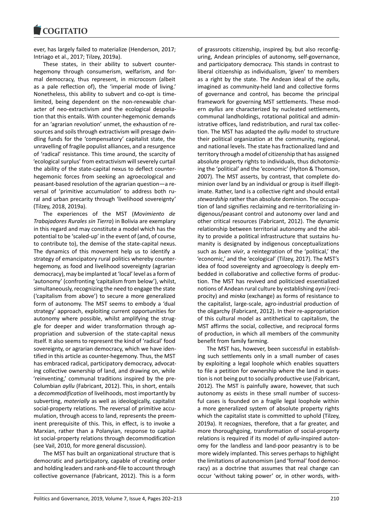

ever, has largely failed to materialize (Henderson, 2017; Intriago et al., 2017; Tilzey, 2019a).

These states, in their ability to subvert counterhegemony through consumerism, welfarism, and formal democracy, thus represent, in microcosm (albeit as a pale reflection of), the 'imperial mode of living.' Nonetheless, this ability to subvert and co-opt is timelimited, being dependent on the non-renewable character of neo-extractivism and the ecological despoliation that this entails. With counter-hegemonic demands for an 'agrarian revolution' unmet, the exhaustion of resources and soils through extractivism will presage dwindling funds for the 'compensatory' capitalist state, the unravelling of fragile populist alliances, and a resurgence of 'radical' resistance. This time around, the scarcity of 'ecological surplus' from extractivism will severely curtail the ability of the state-capital nexus to deflect counterhegemonic forces from seeking an agroecological and peasant-based resolution of the agrarian question―a reversal of 'primitive accumulation' to address both rural and urban precarity through 'livelihood sovereignty' (Tilzey, 2018, 2019a).

The experiences of the MST (*Movimiento de Trabajadores Rurales sin Tierra*) in Bolivia are exemplary in this regard and may constitute a model which has the potential to be 'scaled-up' in the event of (and, of course, to contribute to), the demise of the state-capital nexus. The dynamics of this movement help us to identify a strategy of emancipatory rural politics whereby counterhegemony, as food and livelihood sovereignty (agrarian democracy), may be implanted at 'local' level as a form of 'autonomy' (confronting 'capitalism from below'), whilst, simultaneously, recognizing the need to engage the state ('capitalism from above') to secure a more generalized form of autonomy. The MST seems to embody a 'dual strategy' approach, exploiting current opportunities for autonomy where possible, whilst amplifying the struggle for deeper and wider transformation through appropriation and subversion of the state-capital nexus itself. It also seems to represent the kind of 'radical' food sovereignty, or agrarian democracy, which we have identified in this article as counter-hegemony. Thus, the MST has embraced radical, participatory democracy, advocating collective ownership of land, and drawing on, while 'reinventing,' communal traditions inspired by the pre-Columbian *ayllu* (Fabricant, 2012). This, in short, entails a *decommodification* of livelihoods, most importantly by subverting, *materially* as well as ideologically, capitalist social-property relations. The reversal of primitive accumulation, through access to land, represents the preeminent prerequisite of this. This, in effect, is to invoke a Marxian, rather than a Polanyian, response to capitalist social-property relations through decommodification (see Vail, 2010, for more general discussion).

The MST has built an organizational structure that is democratic and participatory, capable of creating order and holding leaders and rank-and-file to account through collective governance (Fabricant, 2012). This is a form

of grassroots citizenship, inspired by, but also reconfiguring, Andean principles of autonomy, self-governance, and participatory democracy. This stands in contrast to liberal citizenship as individualism, 'given' to members as a right by the state. The Andean ideal of the *ayllu*, imagined as community-held land and collective forms of governance and control, has become the principal framework for governing MST settlements. These modern *ayllus* are characterized by nucleated settlements, communal landholdings, rotational political and administrative offices, land redistribution, and rural tax collection. The MST has adapted the *ayllu* model to structure their political organization at the community, regional, and national levels. The state has fractionalized land and territory through a model of citizenship that has assigned absolute property rights to individuals, thus dichotomizing the 'political' and the 'economic' (Hylton & Thomson, 2007). The MST asserts, by contrast, that complete dominion over land by an individual or group is itself illegitimate. Rather, land is a collective right and should entail *stewardship* rather than absolute dominion. The occupation of land signifies reclaiming and re-territorializing indigenous/peasant control and autonomy over land and other critical resources (Fabricant, 2012). The dynamic relationship between territorial autonomy and the ability to provide a political infrastructure that sustains humanity is designated by indigenous conceptualizations such as *buen vivir*, a reintegration of the 'political,' the 'economic,' and the 'ecological' (Tilzey, 2017). The MST's idea of food sovereignty and agroecology is deeply embedded in collaborative and collective forms of production. The MST has revived and politicized essentialized notions of Andean rural culture by establishing *ayni* (reciprocity) and *minka* (exchange) as forms of resistance to the capitalist, large-scale, agro-industrial production of the oligarchy (Fabricant, 2012). In their re-appropriation of this cultural model as antithetical to capitalism, the MST affirms the social, collective, and reciprocal forms of production, in which all members of the community benefit from family farming.

The MST has, however, been successful in establishing such settlements only in a small number of cases by exploiting a legal loophole which enables squatters to file a petition for ownership where the land in question is not being put to socially productive use (Fabricant, 2012). The MST is painfully aware, however, that such autonomy as exists in these small number of successful cases is founded on a fragile legal loophole within a more generalized system of absolute property rights which the capitalist state is committed to uphold (Tilzey, 2019a). It recognizes, therefore, that a far greater, and more thoroughgoing, transformation of social-property relations is required if its model of *ayllu*-inspired autonomy for the landless and land-poor peasantry is to be more widely implanted. This serves perhaps to highlight the limitations of autonomism (and 'formal' food democracy) as a doctrine that assumes that real change can occur 'without taking power' or, in other words, with-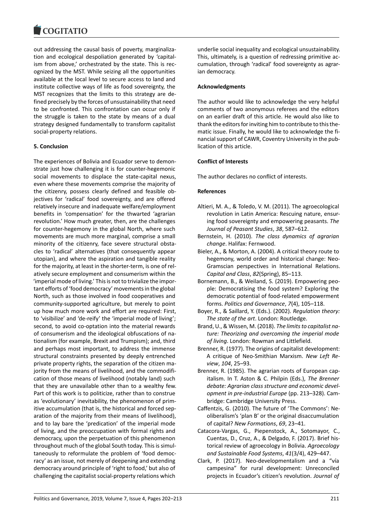

out addressing the causal basis of poverty, marginalization and ecological despoliation generated by 'capitalism from above,' orchestrated by the state. This is recognized by the MST. While seizing all the opportunities available at the local level to secure access to land and institute collective ways of life as food sovereignty, the MST recognizes that the limits to this strategy are defined precisely by the forces of unsustainability that need to be confronted. This confrontation can occur only if the struggle is taken to the state by means of a dual strategy designed fundamentally to transform capitalist social-property relations.

#### **5. Conclusion**

The experiences of Bolivia and Ecuador serve to demonstrate just how challenging it is for counter-hegemonic social movements to displace the state-capital nexus, even where these movements comprise the majority of the citizenry, possess clearly defined and feasible objectives for 'radical' food sovereignty, and are offered relatively insecure and inadequate welfare/employment benefits in 'compensation' for the thwarted 'agrarian revolution.' How much greater, then, are the challenges for counter-hegemony in the global North, where such movements are much more marginal, comprise a small minority of the citizenry, face severe structural obstacles to 'radical' alternatives (that consequently appear utopian), and where the aspiration and tangible reality for the majority, at least in the shorter-term, is one of relatively secure employment and consumerism within the 'imperial mode of living.' This is not to trivialize the important efforts of 'food democracy' movements in the global North, such as those involved in food cooperatives and community-supported agriculture, but merely to point up how much more work and effort are required: First, to 'visibilize' and 'de-reify' the 'imperial mode of living'; second, to avoid co-optation into the material rewards of consumerism and the ideological obfuscations of nationalism (for example, Brexit and Trumpism); and, third and perhaps most important, to address the immense structural constraints presented by deeply entrenched private property rights, the separation of the citizen majority from the means of livelihood, and the commodification of those means of livelihood (notably land) such that they are unavailable other than to a wealthy few. Part of this work is to politicize, rather than to construe as 'evolutionary' inevitability, the phenomenon of primitive accumulation (that is, the historical and forced separation of the majority from their means of livelihood), and to lay bare the 'predication' of the imperial mode of living, and the preoccupation with formal rights and democracy, upon the perpetuation of this phenomenon throughout much of the global South today. This is simultaneously to reformulate the problem of 'food democracy' as an issue, not merely of deepening and extending democracy around principle of 'right to food,' but also of challenging the capitalist social-property relations which

underlie social inequality and ecological unsustainability. This, ultimately, is a question of redressing primitive accumulation, through 'radical' food sovereignty as agrarian democracy.

#### **Acknowledgments**

The author would like to acknowledge the very helpful comments of two anonymous referees and the editors on an earlier draft of this article. He would also like to thank the editors for inviting him to contribute to this thematic issue. Finally, he would like to acknowledge the financial support of CAWR, Coventry University in the publication of this article.

# **Conflict of Interests**

The author declares no conflict of interests.

#### **References**

- Altieri, M. A., & Toledo, V. M. (2011). The agroecological revolution in Latin America: Rescuing nature, ensuring food sovereignty and empowering peasants. *The Journal of Peasant Studies*, *38*, 587–612.
- Bernstein, H. (2010). *The class dynamics of agrarian change*. Halifax: Fernwood.
- Bieler, A., & Morton, A. (2004). A critical theory route to hegemony, world order and historical change: Neo-Gramscian perspectives in International Relations. *Capital and Class*, *82*(Spring), 85–113.
- Bornemann, B., & Weiland, S. (2019). Empowering people: Democratising the food system? Exploring the democratic potential of food-related empowerment forms. *Politics and Governance*, *7*(4), 105–118.
- Boyer, R., & Saillard, Y. (Eds.). (2002). *Regulation theory: The state of the art*. London: Routledge.
- Brand, U., & Wissen, M. (2018). *The limits to capitalist nature: Theorizing and overcoming the imperial mode of living*. London: Rowman and Littlefield.
- Brenner, R. (1977). The origins of capitalist development: A critique of Neo-Smithian Marxism. *New Left Review*, *104*, 25–93.
- Brenner, R. (1985). The agrarian roots of European capitalism. In T. Aston & C. Philpin (Eds.), *The Brenner debate: Agrarian class structure and economic development in pre-industrial Europe* (pp. 213–328). Cambridge: Cambridge University Press.
- Caffentzis, G. (2010). The future of 'The Commons': Neoliberalism's 'plan B' or the original disaccumulation of capital? *New Formations*, *69*, 23–41.
- Catacora-Vargas, G., Piepenstock, A., Sotomayor, C., Cuentas, D., Cruz, A., & Delgado, F. (2017). Brief historical review of agroecology in Bolivia. *Agroecology and Sustainable Food Systems*, *41*(3/4), 429–447.
- Clark, P. (2017). Neo-developmentalism and a "vía campesina" for rural development: Unreconciled projects in Ecuador's citizen's revolution. *Journal of*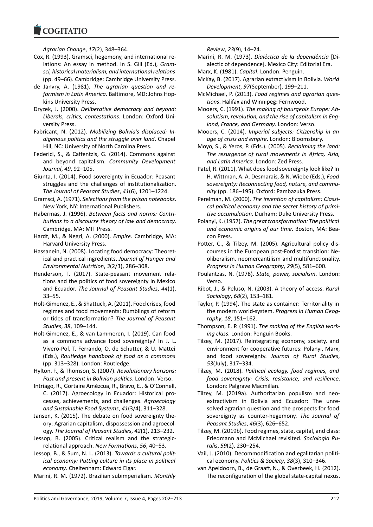*Agrarian Change*, *17*(2), 348–364.

**COGITATIO** 

- Cox, R. (1993). Gramsci, hegemony, and international relations: An essay in method. In S. Gill (Ed.), *Gramsci, historical materialism, and international relations* (pp. 49–66). Cambridge: Cambridge University Press.
- de Janvry, A. (1981). *The agrarian question and reformism in Latin America*. Baltimore, MD: Johns Hopkins University Press.
- Dryzek, J. (2000). *Deliberative democracy and beyond: Liberals, critics, contestations*. London: Oxford University Press.
- Fabricant, N. (2012). *Mobilizing Bolivia's displaced: Indigenous politics and the struggle over land*. Chapel Hill, NC: University of North Carolina Press.
- Federici, S., & Caffentzis, G. (2014). Commons against and beyond capitalism. *Community Development Journal*, *49*, 92–105.
- Giunta, I. (2014). Food sovereignty in Ecuador: Peasant struggles and the challenges of institutionalization. *The Journal of Peasant Studies*, *41*(6), 1201–1224.
- Gramsci, A. (1971). *Selections from the prison notebooks*. New York, NY: International Publishers.
- Habermas, J. (1996). *Between facts and norms: Contributions to a discourse theory of law and democracy*. Cambridge, MA: MIT Press.
- Hardt, M., & Negri, A. (2000). *Empire*. Cambridge, MA: Harvard University Press.
- Hassanein, N. (2008). Locating food democracy: Theoretical and practical ingredients. *Journal of Hunger and Environmental Nutrition*, *3*(2/3), 286–308.
- Henderson, T. (2017). State-peasant movement relations and the politics of food sovereignty in Mexico and Ecuador. *The Journal of Peasant Studies*, *44*(1), 33–55.
- Holt-Gimenez, E., & Shattuck, A. (2011). Food crises, food regimes and food movements: Rumblings of reform or tides of transformation? *The Journal of Peasant Studies*, *38*, 109–144.
- Holt-Gimenez, E., & van Lammeren, I. (2019). Can food as a commons advance food sovereignty? In J. L. Vivero-Pol, T. Ferrando, O. de Schutter, & U. Mattei (Eds.), *Routledge handbook of food as a commons* (pp. 313–328). London: Routledge.
- Hylton. F., & Thomson, S. (2007). *Revolutionary horizons: Past and present in Bolivian politics*. London: Verso.
- Intriago, R., Gortaire Amézcua, R., Bravo, E., & O'Connell, C. (2017). Agroecology in Ecuador: Historical processes, achievements, and challenges. *Agroecology and Sustainable Food Systems*, *41*(3/4), 311–328.
- Jansen, K. (2015). The debate on food sovereignty theory: Agrarian capitalism, dispossession and agroecology. *The Journal of Peasant Studies*, *42*(1), 213–232.
- Jessop, B. (2005). Critical realism and the strategicrelational approach. *New Formations*, *56*, 40–53.
- Jessop, B., & Sum, N. L. (2013). *Towards a cultural political economy: Putting culture in its place in political economy*. Cheltenham: Edward Elgar.
- Marini, R. M. (1972). Brazilian subimperialism. *Monthly*

*Review*, *23*(9), 14–24.

- Marini, R. M. (1973). *Dialéctica de la dependência* [Dialectic of dependence]. Mexico City: Editorial Era.
- Marx, K. (1981). *Capital*. London: Penguin.
- McKay, B. (2017). Agrarian extractivism in Bolivia. *World Development*, *97*(September), 199–211.
- McMichael, P. (2013). *Food regimes and agrarian questions*. Halifax and Winnipeg: Fernwood.
- Mooers, C. (1991). *The making of bourgeois Europe: Absolutism, revolution, and the rise of capitalism in England, France, and Germany*. London: Verso.
- Mooers, C. (2014). *Imperial subjects: Citizenship in an age of crisis and empire*. London: Bloomsbury.
- Moyo, S., & Yeros, P. (Eds.). (2005). *Reclaiming the land: The resurgence of rural movements in Africa, Asia, and Latin America*. London: Zed Press.
- Patel, R. (2011). What does food sovereignty look like? In H. Wittman, A. A. Desmarais, & N. Wiebe (Eds.), *Food sovereignty: Reconnecting food, nature, and community* (pp. 186–195). Oxford: Pambazuka Press.
- Perelman, M. (2000). *The invention of capitalism: Classical political economy and the secret history of primitive accumulation*. Durham: Duke University Press.
- Polanyi, K. (1957). *The great transformation: The political and economic origins of our time*. Boston, MA: Beacon Press.
- Potter, C., & Tilzey, M. (2005). Agricultural policy discourses in the European post-Fordist transition: Neoliberalism, neomercantilism and multifunctionality. *Progress in Human Geography*, *29*(5), 581–600.
- Poulantzas, N. (1978). *State, power, socialism*. London: Verso.
- Ribot, J., & Peluso, N. (2003). A theory of access. *Rural Sociology*, *68*(2), 153–181.
- Taylor, P. (1994). The state as container: Territoriality in the modern world-system. *Progress in Human Geography*, *18*, 151–162.
- Thompson, E. P. (1991). *The making of the English working class*. London: Penguin Books.
- Tilzey, M. (2017). Reintegrating economy, society, and environment for cooperative futures: Polanyi, Marx, and food sovereignty. *Journal of Rural Studies*, *53*(July), 317–334.
- Tilzey, M. (2018). *Political ecology, food regimes, and food sovereignty: Crisis, resistance, and resilience*. London: Palgrave Macmillan.
- Tilzey, M. (2019a). Authoritarian populism and neoextractivism in Bolivia and Ecuador: The unresolved agrarian question and the prospects for food sovereignty as counter-hegemony. *The Journal of Peasant Studies*, *46*(3), 626–652.
- Tilzey, M. (2019b). Food regimes, state, capital, and class: Friedmann and McMichael revisited. *Sociologia Ruralis*, *59*(2), 230–254.
- Vail, J. (2010). Decommodification and egalitarian political economy. *Politics & Society*, *38*(3), 310–346.
- van Apeldoorn, B., de Graaff, N., & Overbeek, H. (2012). The reconfiguration of the global state-capital nexus.